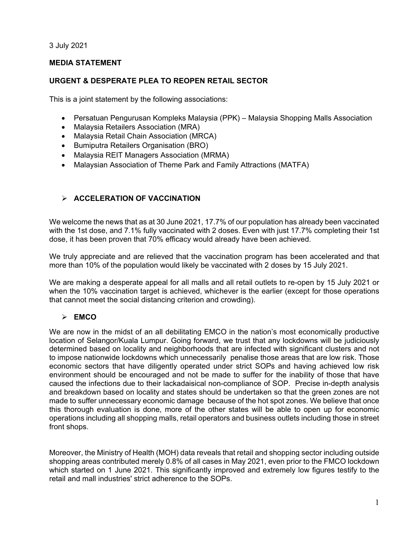3 July 2021

## **MEDIA STATEMENT**

## **URGENT & DESPERATE PLEA TO REOPEN RETAIL SECTOR**

This is a joint statement by the following associations:

- Persatuan Pengurusan Kompleks Malaysia (PPK) Malaysia Shopping Malls Association
- Malaysia Retailers Association (MRA)
- Malaysia Retail Chain Association (MRCA)
- Bumiputra Retailers Organisation (BRO)
- Malaysia REIT Managers Association (MRMA)
- Malaysian Association of Theme Park and Family Attractions (MATFA)

## **ACCELERATION OF VACCINATION**

We welcome the news that as at 30 June 2021, 17.7% of our population has already been vaccinated with the 1st dose, and 7.1% fully vaccinated with 2 doses. Even with just 17.7% completing their 1st dose, it has been proven that 70% efficacy would already have been achieved.

We truly appreciate and are relieved that the vaccination program has been accelerated and that more than 10% of the population would likely be vaccinated with 2 doses by 15 July 2021.

We are making a desperate appeal for all malls and all retail outlets to re-open by 15 July 2021 or when the 10% vaccination target is achieved, whichever is the earlier (except for those operations that cannot meet the social distancing criterion and crowding).

#### **EMCO**

We are now in the midst of an all debilitating EMCO in the nation's most economically productive location of Selangor/Kuala Lumpur. Going forward, we trust that any lockdowns will be judiciously determined based on locality and neighborhoods that are infected with significant clusters and not to impose nationwide lockdowns which unnecessarily penalise those areas that are low risk. Those economic sectors that have diligently operated under strict SOPs and having achieved low risk environment should be encouraged and not be made to suffer for the inability of those that have caused the infections due to their lackadaisical non-compliance of SOP. Precise in-depth analysis and breakdown based on locality and states should be undertaken so that the green zones are not made to suffer unnecessary economic damage because of the hot spot zones. We believe that once this thorough evaluation is done, more of the other states will be able to open up for economic operations including all shopping malls, retail operators and business outlets including those in street front shops.

Moreover, the Ministry of Health (MOH) data reveals that retail and shopping sector including outside shopping areas contributed merely 0.8% of all cases in May 2021, even prior to the FMCO lockdown which started on 1 June 2021. This significantly improved and extremely low figures testify to the retail and mall industries' strict adherence to the SOPs.